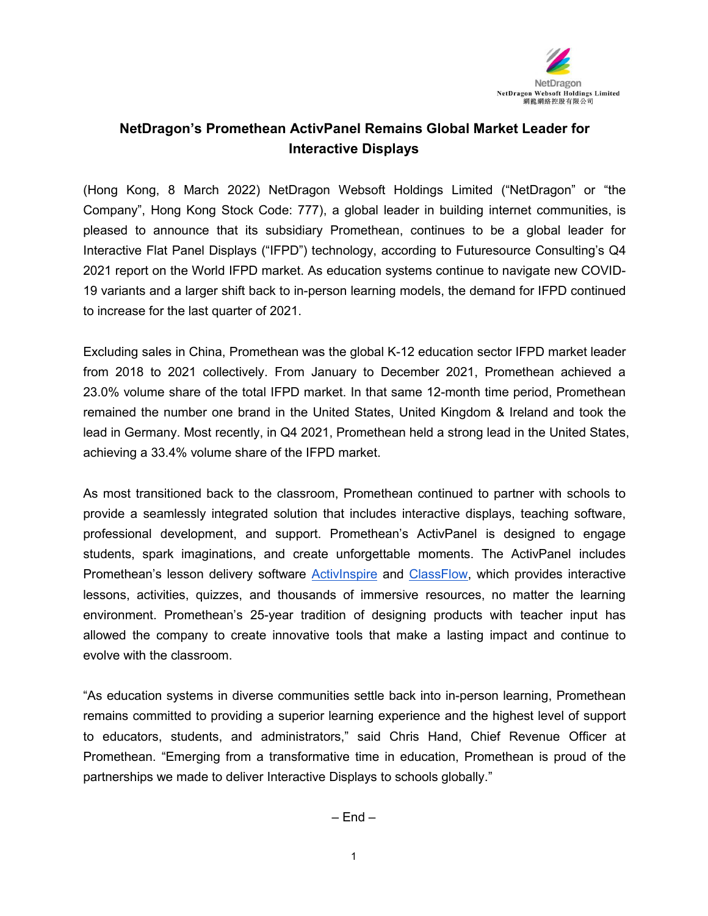

## **NetDragon's Promethean ActivPanel Remains Global Market Leader for Interactive Displays**

(Hong Kong, 8 March 2022) NetDragon Websoft Holdings Limited ("NetDragon" or "the Company", Hong Kong Stock Code: 777), a global leader in building internet communities, is pleased to announce that its subsidiary Promethean, continues to be a global leader for Interactive Flat Panel Displays ("IFPD") technology, according to Futuresource Consulting's Q4 2021 report on the World IFPD market. As education systems continue to navigate new COVID- 19 variants and a larger shift back to in-person learning models, the demand for IFPD continued to increase for the last quarter of 2021.

Excluding sales in China, Promethean was the global K-12 education sector IFPD market leader from 2018 to 2021 collectively. From January to December 2021, Promethean achieved a 23.0% volume share of the total IFPD market. In that same 12-month time period, Promethean remained the number one brand in the United States, United Kingdom & Ireland and took the lead in Germany. Most recently, in Q4 2021, Promethean held a strong lead in the United States, achieving a 33.4% volume share of the IFPD market.

As most transitioned back to the classroom, Promethean continued to partner with schools to provide a seamlessly integrated solution that includes interactive displays, teaching software, professional development, and support. Promethean's ActivPanel is designed to engage students, spark imaginations, and create unforgettable moments. The ActivPanel includes Promethean's lesson delivery software [ActivInspire](https://www.prometheanworld.com/products/software/activinspire/) and [ClassFlow,](https://www.prometheanworld.com/products/software/classflow/) which provides interactive lessons, activities, quizzes, and thousands of immersive resources, no matter the learning environment. Promethean's 25-year tradition of designing products with teacher input has allowed the company to create innovative tools that make a lasting impact and continue to evolve with the classroom.

"As education systems in diverse communities settle back into in-person learning, Promethean remains committed to providing a superior learning experience and the highest level of support to educators, students, and administrators," said Chris Hand, Chief Revenue Officer at Promethean. "Emerging from a transformative time in education, Promethean is proud of the partnerships we made to deliver Interactive Displays to schools globally."

 $-$  Fnd  $-$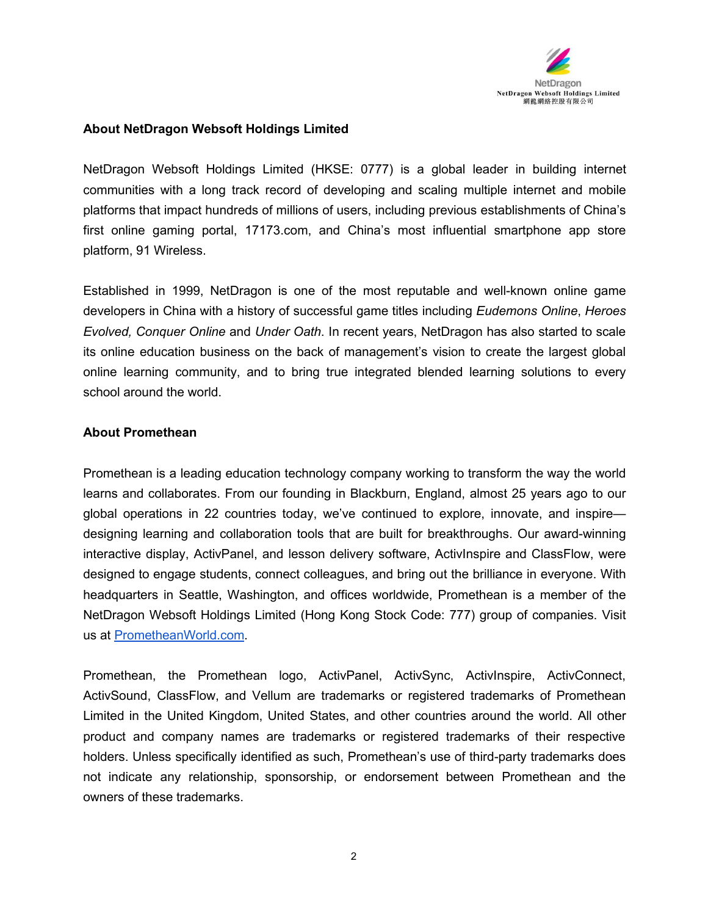

## **About NetDragon Websoft Holdings Limited**

NetDragon Websoft Holdings Limited (HKSE: 0777) is a global leader in building internet communities with a long track record of developing and scaling multiple internet and mobile platforms that impact hundreds of millions of users, including previous establishments of China's first online gaming portal, 17173.com, and China's most influential smartphone app store platform, 91 Wireless.

Established in 1999, NetDragon is one of the most reputable and well-known online game developers in China with a history of successful game titles including *Eudemons Online*, *Heroes Evolved, Conquer Online* and *Under Oath*. In recent years, NetDragon has also started to scale its online education business on the back of management's vision to create the largest global online learning community, and to bring true integrated blended learning solutions to every school around the world.

## **About Promethean**

Promethean is a leading education technology company working to transform the way the world learns and collaborates. From our founding in Blackburn, England, almost 25 years ago to our global operations in 22 countries today, we've continued to explore, innovate, and inspire designing learning and collaboration tools that are built for breakthroughs. Our award-winning interactive display, ActivPanel, and lesson delivery software, ActivInspire and ClassFlow, were designed to engage students, connect colleagues, and bring out the brilliance in everyone. With headquarters in Seattle, Washington, and offices worldwide, Promethean is a member of the NetDragon Websoft Holdings Limited (Hong Kong Stock Code: 777) group of companies. Visit us at [PrometheanWorld.com](https://www.prometheanworld.com/).

Promethean, the Promethean logo, ActivPanel, ActivSync, ActivInspire, ActivConnect, ActivSound, ClassFlow, and Vellum are trademarks or registered trademarks of Promethean Limited in the United Kingdom, United States, and other countries around the world. All other product and company names are trademarks or registered trademarks of their respective holders. Unless specifically identified as such, Promethean's use of third-party trademarks does not indicate any relationship, sponsorship, or endorsement between Promethean and the owners of these trademarks.